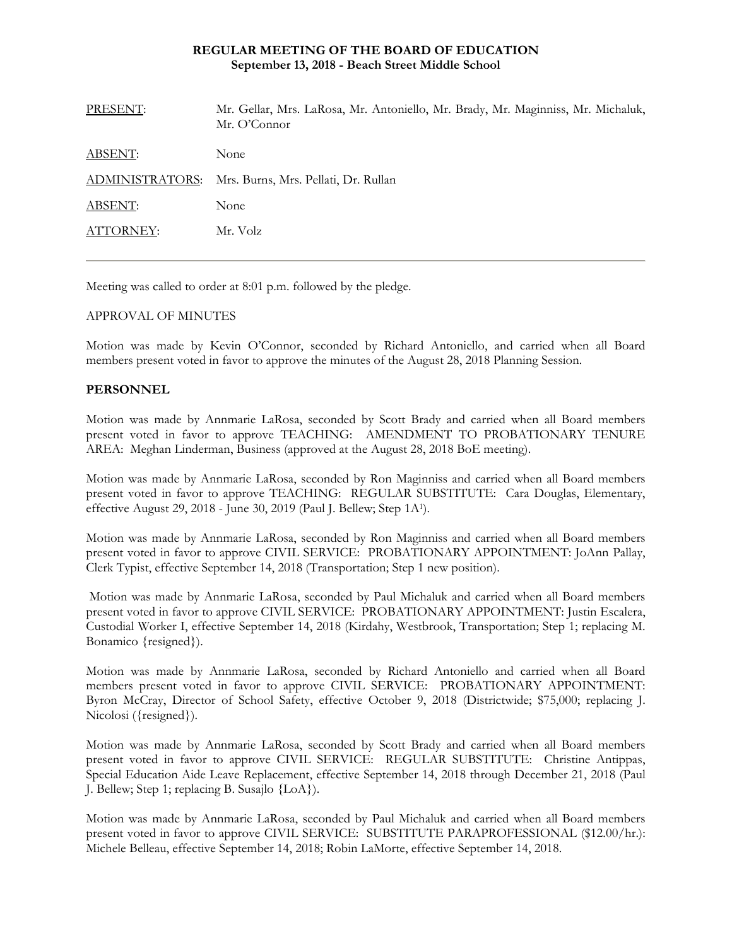### **REGULAR MEETING OF THE BOARD OF EDUCATION September 13, 2018 - Beach Street Middle School**

| PRESENT:       | Mr. Gellar, Mrs. LaRosa, Mr. Antoniello, Mr. Brady, Mr. Maginniss, Mr. Michaluk,<br>Mr. O'Connor |
|----------------|--------------------------------------------------------------------------------------------------|
| <b>ABSENT:</b> | None                                                                                             |
|                | ADMINISTRATORS: Mrs. Burns, Mrs. Pellati, Dr. Rullan                                             |
| ABSENT:        | None                                                                                             |
| ATTORNEY:      | Mr. Volz                                                                                         |
|                |                                                                                                  |

Meeting was called to order at 8:01 p.m. followed by the pledge.

# APPROVAL OF MINUTES

Motion was made by Kevin O'Connor, seconded by Richard Antoniello, and carried when all Board members present voted in favor to approve the minutes of the August 28, 2018 Planning Session.

#### **PERSONNEL**

Motion was made by Annmarie LaRosa, seconded by Scott Brady and carried when all Board members present voted in favor to approve TEACHING: AMENDMENT TO PROBATIONARY TENURE AREA: Meghan Linderman, Business (approved at the August 28, 2018 BoE meeting).

Motion was made by Annmarie LaRosa, seconded by Ron Maginniss and carried when all Board members present voted in favor to approve TEACHING: REGULAR SUBSTITUTE: Cara Douglas, Elementary, effective August 29, 2018 - June 30, 2019 (Paul J. Bellew; Step 1A1).

Motion was made by Annmarie LaRosa, seconded by Ron Maginniss and carried when all Board members present voted in favor to approve CIVIL SERVICE:PROBATIONARY APPOINTMENT: JoAnn Pallay, Clerk Typist, effective September 14, 2018 (Transportation; Step 1 new position).

 Motion was made by Annmarie LaRosa, seconded by Paul Michaluk and carried when all Board members present voted in favor to approve CIVIL SERVICE:PROBATIONARY APPOINTMENT: Justin Escalera, Custodial Worker I, effective September 14, 2018 (Kirdahy, Westbrook, Transportation; Step 1; replacing M. Bonamico {resigned}).

Motion was made by Annmarie LaRosa, seconded by Richard Antoniello and carried when all Board members present voted in favor to approve CIVIL SERVICE:PROBATIONARY APPOINTMENT: Byron McCray, Director of School Safety, effective October 9, 2018 (Districtwide; \$75,000; replacing J. Nicolosi ({resigned}).

Motion was made by Annmarie LaRosa, seconded by Scott Brady and carried when all Board members present voted in favor to approve CIVIL SERVICE:REGULAR SUBSTITUTE: Christine Antippas, Special Education Aide Leave Replacement, effective September 14, 2018 through December 21, 2018 (Paul J. Bellew; Step 1; replacing B. Susajlo {LoA}).

Motion was made by Annmarie LaRosa, seconded by Paul Michaluk and carried when all Board members present voted in favor to approve CIVIL SERVICE:SUBSTITUTE PARAPROFESSIONAL (\$12.00/hr.): Michele Belleau, effective September 14, 2018; Robin LaMorte, effective September 14, 2018.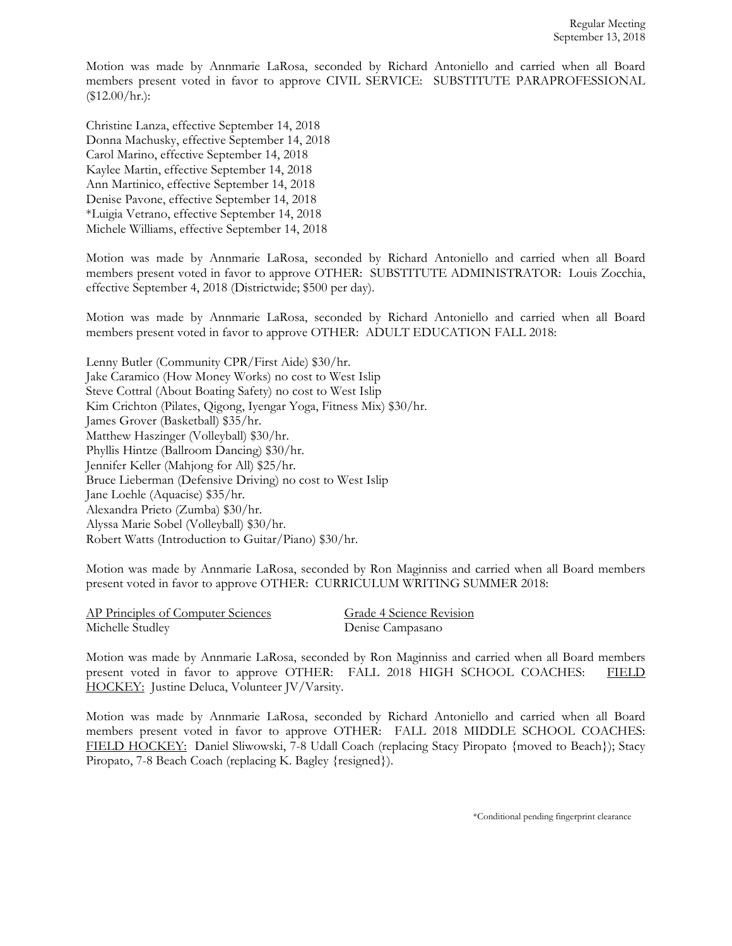Motion was made by Annmarie LaRosa, seconded by Richard Antoniello and carried when all Board members present voted in favor to approve CIVIL SERVICE:SUBSTITUTE PARAPROFESSIONAL  $($12.00/hr.):$ 

Christine Lanza, effective September 14, 2018 Donna Machusky, effective September 14, 2018 Carol Marino, effective September 14, 2018 Kaylee Martin, effective September 14, 2018 Ann Martinico, effective September 14, 2018 Denise Pavone, effective September 14, 2018 \*Luigia Vetrano, effective September 14, 2018 Michele Williams, effective September 14, 2018

Motion was made by Annmarie LaRosa, seconded by Richard Antoniello and carried when all Board members present voted in favor to approve OTHER: SUBSTITUTE ADMINISTRATOR: Louis Zocchia, effective September 4, 2018 (Districtwide; \$500 per day).

Motion was made by Annmarie LaRosa, seconded by Richard Antoniello and carried when all Board members present voted in favor to approve OTHER: ADULT EDUCATION FALL 2018:

Lenny Butler (Community CPR/First Aide) \$30/hr. Jake Caramico (How Money Works) no cost to West Islip Steve Cottral (About Boating Safety) no cost to West Islip Kim Crichton (Pilates, Qigong, Iyengar Yoga, Fitness Mix) \$30/hr. James Grover (Basketball) \$35/hr. Matthew Haszinger (Volleyball) \$30/hr. Phyllis Hintze (Ballroom Dancing) \$30/hr. Jennifer Keller (Mahjong for All) \$25/hr. Bruce Lieberman (Defensive Driving) no cost to West Islip Jane Loehle (Aquacise) \$35/hr. Alexandra Prieto (Zumba) \$30/hr. Alyssa Marie Sobel (Volleyball) \$30/hr. Robert Watts (Introduction to Guitar/Piano) \$30/hr.

Motion was made by Annmarie LaRosa, seconded by Ron Maginniss and carried when all Board members present voted in favor to approve OTHER: CURRICULUM WRITING SUMMER 2018:

| AP Principles of Computer Sciences |  |
|------------------------------------|--|
| Michelle Studley                   |  |

Grade 4 Science Revision Denise Campasano

Motion was made by Annmarie LaRosa, seconded by Ron Maginniss and carried when all Board members present voted in favor to approve OTHER: FALL 2018 HIGH SCHOOL COACHES: FIELD HOCKEY: Justine Deluca, Volunteer JV/Varsity.

Motion was made by Annmarie LaRosa, seconded by Richard Antoniello and carried when all Board members present voted in favor to approve OTHER: FALL 2018 MIDDLE SCHOOL COACHES: FIELD HOCKEY: Daniel Sliwowski, 7-8 Udall Coach (replacing Stacy Piropato {moved to Beach}); Stacy Piropato, 7-8 Beach Coach (replacing K. Bagley {resigned}).

\*Conditional pending fingerprint clearance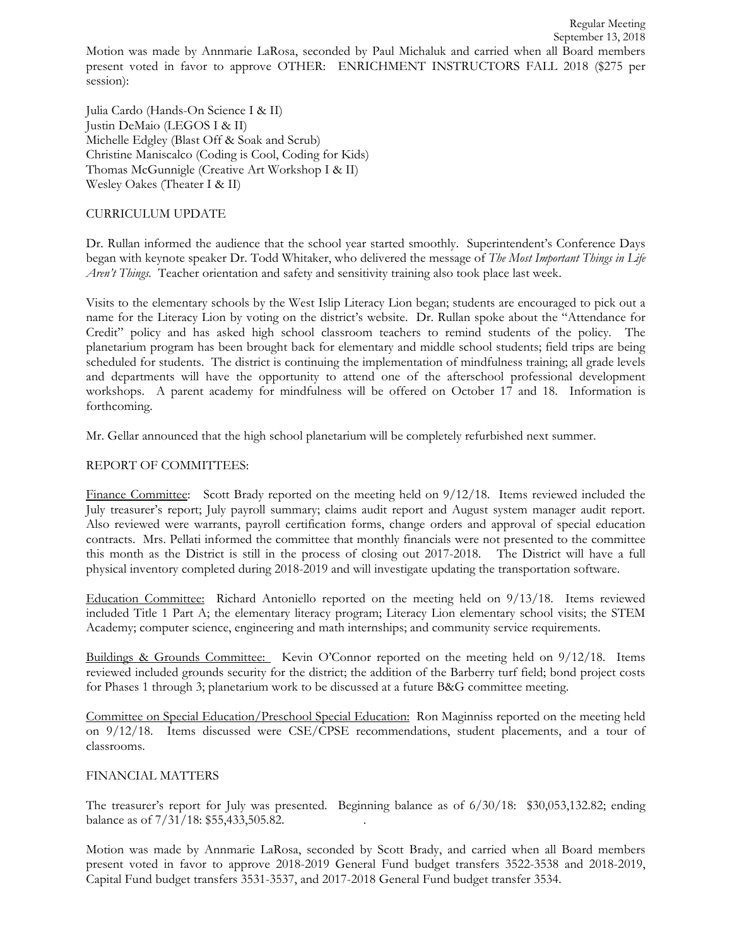Motion was made by Annmarie LaRosa, seconded by Paul Michaluk and carried when all Board members present voted in favor to approve OTHER: ENRICHMENT INSTRUCTORS FALL 2018 (\$275 per session):

Julia Cardo (Hands-On Science I & II) Justin DeMaio (LEGOS I & II) Michelle Edgley (Blast Off & Soak and Scrub) Christine Maniscalco (Coding is Cool, Coding for Kids) Thomas McGunnigle (Creative Art Workshop I & II) Wesley Oakes (Theater I & II)

### CURRICULUM UPDATE

Dr. Rullan informed the audience that the school year started smoothly. Superintendent's Conference Days began with keynote speaker Dr. Todd Whitaker, who delivered the message of *The Most Important Things in Life Aren't Things.* Teacher orientation and safety and sensitivity training also took place last week.

Visits to the elementary schools by the West Islip Literacy Lion began; students are encouraged to pick out a name for the Literacy Lion by voting on the district's website. Dr. Rullan spoke about the "Attendance for Credit" policy and has asked high school classroom teachers to remind students of the policy. The planetarium program has been brought back for elementary and middle school students; field trips are being scheduled for students. The district is continuing the implementation of mindfulness training; all grade levels and departments will have the opportunity to attend one of the afterschool professional development workshops. A parent academy for mindfulness will be offered on October 17 and 18. Information is forthcoming.

Mr. Gellar announced that the high school planetarium will be completely refurbished next summer.

# REPORT OF COMMITTEES:

Finance Committee: Scott Brady reported on the meeting held on 9/12/18. Items reviewed included the July treasurer's report; July payroll summary; claims audit report and August system manager audit report. Also reviewed were warrants, payroll certification forms, change orders and approval of special education contracts. Mrs. Pellati informed the committee that monthly financials were not presented to the committee this month as the District is still in the process of closing out 2017-2018. The District will have a full physical inventory completed during 2018-2019 and will investigate updating the transportation software.

Education Committee: Richard Antoniello reported on the meeting held on 9/13/18. Items reviewed included Title 1 Part A; the elementary literacy program; Literacy Lion elementary school visits; the STEM Academy; computer science, engineering and math internships; and community service requirements.

Buildings & Grounds Committee: Kevin O'Connor reported on the meeting held on 9/12/18. Items reviewed included grounds security for the district; the addition of the Barberry turf field; bond project costs for Phases 1 through 3; planetarium work to be discussed at a future B&G committee meeting.

Committee on Special Education/Preschool Special Education: Ron Maginniss reported on the meeting held on 9/12/18. Items discussed were CSE/CPSE recommendations, student placements, and a tour of classrooms.

#### FINANCIAL MATTERS

The treasurer's report for July was presented. Beginning balance as of 6/30/18: \$30,053,132.82; ending balance as of 7/31/18: \$55,433,505.82. .

Motion was made by Annmarie LaRosa, seconded by Scott Brady, and carried when all Board members present voted in favor to approve 2018-2019 General Fund budget transfers 3522-3538 and 2018-2019, Capital Fund budget transfers 3531-3537, and 2017-2018 General Fund budget transfer 3534.